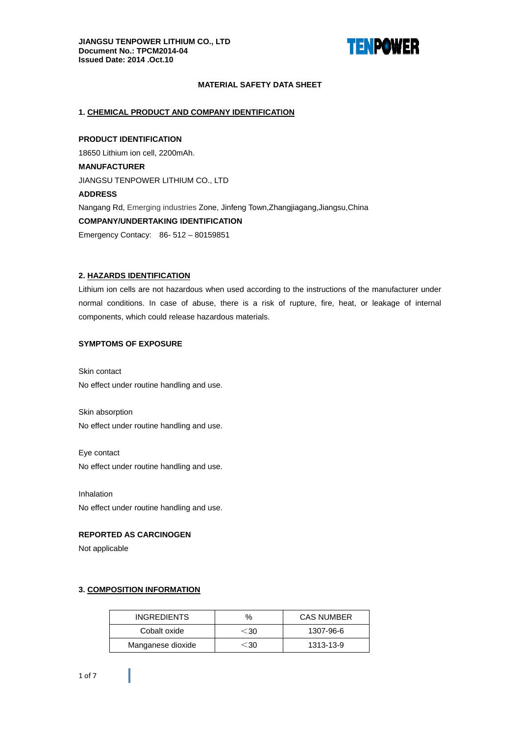

# **MATERIAL SAFETY DATA SHEET**

## 1. CHEMICAL PRODUCT AND COMPANY IDENTIFICATION

**PRODUCT IDENTIFICATION** 18650 Lithium ion cell, 2200mAh. **MANUFACTURER** JIANGSU TENPOWER LITHIUM CO., LTD **ADDRESS** Nangang Rd, Emerging industries Zone, Jinfeng Town, Zhangjiagang, Jiangsu, China **COMPANY/UNDERTAKING IDENTIFICATION** Emergency Contacy: 86-512-80159851

## 2. HAZARDS IDENTIFICATION

Lithium ion cells are not hazardous when used according to the instructions of the manufacturer under normal conditions. In case of abuse, there is a risk of rupture, fire, heat, or leakage of internal components, which could release hazardous materials.

## **SYMPTOMS OF EXPOSURE**

Skin contact No effect under routine handling and use.

Skin absorption No effect under routine handling and use.

Eye contact No effect under routine handling and use.

Inhalation No effect under routine handling and use.

## **REPORTED AS CARCINOGEN**

Not applicable

## 3. COMPOSITION INFORMATION

| <b>INGREDIENTS</b> | $\%$             | <b>CAS NUMBER</b> |  |  |
|--------------------|------------------|-------------------|--|--|
| Cobalt oxide       | ⊂30              | 1307-96-6         |  |  |
| Manganese dioxide  | $\sim$ 30 $\sim$ | 1313-13-9         |  |  |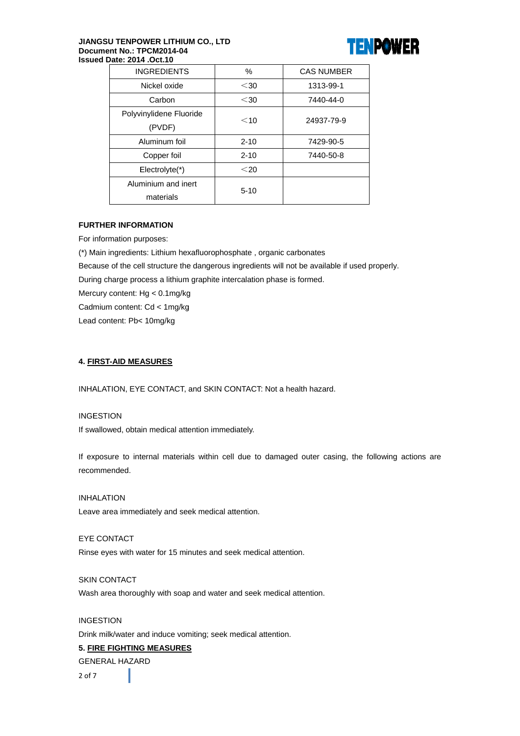#### JIANGSU TENPOWER LITHIUM CO., LTD Document No.: TPCM2014-04 Issued Date: 2014 .Oct.10



| <b>INGREDIENTS</b>      | $\%$     | <b>CAS NUMBER</b> |  |
|-------------------------|----------|-------------------|--|
| Nickel oxide            | $30$     | 1313-99-1         |  |
| Carbon                  | $30$     | 7440-44-0         |  |
| Polyvinylidene Fluoride | $<$ 10   | 24937-79-9        |  |
| (PVDF)                  |          |                   |  |
| Aluminum foil           | $2 - 10$ | 7429-90-5         |  |
| Copper foil             | $2 - 10$ | 7440-50-8         |  |
| Electrolyte(*)          | $<$ 20   |                   |  |
| Aluminium and inert     | $5 - 10$ |                   |  |
| materials               |          |                   |  |
|                         |          |                   |  |

# **FURTHER INFORMATION**

For information purposes:

(\*) Main ingredients: Lithium hexafluorophosphate, organic carbonates

Because of the cell structure the dangerous ingredients will not be available if used properly.

During charge process a lithium graphite intercalation phase is formed.

Mercury content: Hg < 0.1mg/kg

Cadmium content: Cd < 1mg/kg

Lead content: Pb< 10mg/kg

## **4. FIRST-AID MEASURES**

INHALATION. EYE CONTACT, and SKIN CONTACT: Not a health hazard.

# **INGESTION**

If swallowed, obtain medical attention immediately.

If exposure to internal materials within cell due to damaged outer casing, the following actions are recommended.

**INHALATION** Leave area immediately and seek medical attention.

EYE CONTACT Rinse eyes with water for 15 minutes and seek medical attention.

**SKIN CONTACT** Wash area thoroughly with soap and water and seek medical attention.

**INGESTION** Drink milk/water and induce vomiting; seek medical attention.

# **5. FIRE FIGHTING MEASURES**

**GENERAL HAZARD** 

 $2$  of  $7$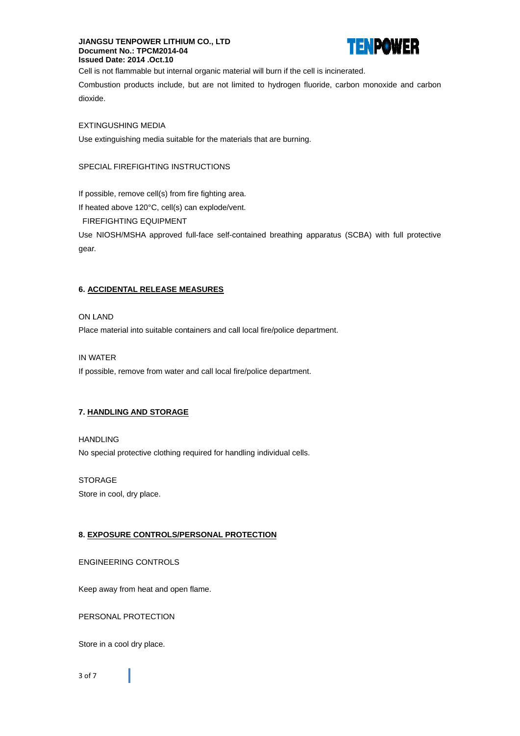## **JIANGSU TENPOWER LITHIUM CO., LTD** Document No.: TPCM2014-04 Issued Date: 2014 .Oct.10



Cell is not flammable but internal organic material will burn if the cell is incinerated.

Combustion products include, but are not limited to hydrogen fluoride, carbon monoxide and carbon dioxide.

# **EXTINGUSHING MEDIA**

Use extinguishing media suitable for the materials that are burning.

# SPECIAL FIREFIGHTING INSTRUCTIONS

If possible, remove cell(s) from fire fighting area.

If heated above 120°C, cell(s) can explode/vent.

**FIREFIGHTING EQUIPMENT** 

Use NIOSH/MSHA approved full-face self-contained breathing apparatus (SCBA) with full protective gear.

# **6. ACCIDENTAL RELEASE MEASURES**

## ON LAND

Place material into suitable containers and call local fire/police department.

## IN WATER

If possible, remove from water and call local fire/police department.

# 7. HANDLING AND STORAGE

#### **HANDLING**

No special protective clothing required for handling individual cells.

#### **STORAGE**

Store in cool, dry place.

# 8. EXPOSURE CONTROLS/PERSONAL PROTECTION

#### **ENGINEERING CONTROLS**

Keep away from heat and open flame.

PERSONAL PROTECTION

Store in a cool dry place.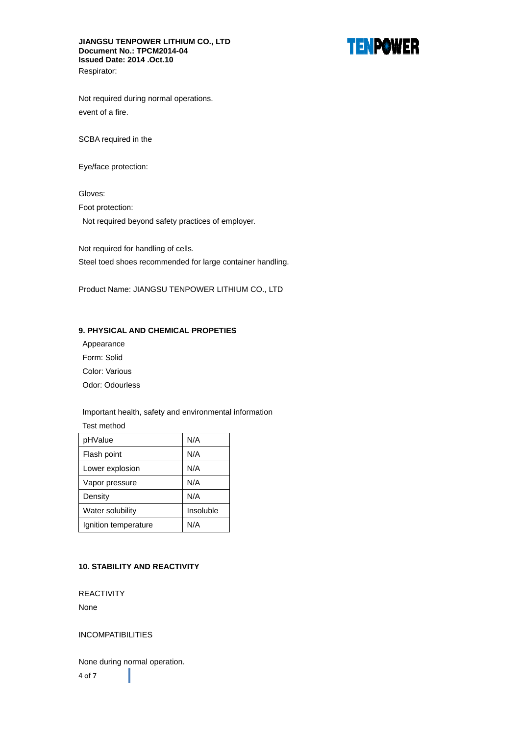## JIANGSU TENPOWER LITHIUM CO., LTD Document No.: TPCM2014-04 Issued Date: 2014 .Oct.10 Respirator:



Not required during normal operations. event of a fire.

SCBA required in the

Eye/face protection:

Gloves:

Foot protection:

Not required beyond safety practices of employer.

Not required for handling of cells. Steel toed shoes recommended for large container handling.

Product Name: JIANGSU TENPOWER LITHIUM CO., LTD

# 9. PHYSICAL AND CHEMICAL PROPETIES

Appearance Form: Solid Color: Various Odor: Odourless

Important health, safety and environmental information

Test method

| pHValue              | N/A       |  |
|----------------------|-----------|--|
| Flash point          | N/A       |  |
| Lower explosion      | N/A       |  |
| Vapor pressure       | N/A       |  |
| Density              | N/A       |  |
| Water solubility     | Insoluble |  |
| Ignition temperature | N/A       |  |

# **10. STABILITY AND REACTIVITY**

**REACTIVITY** 

None

**INCOMPATIBILITIES** 

None during normal operation. 4 of 7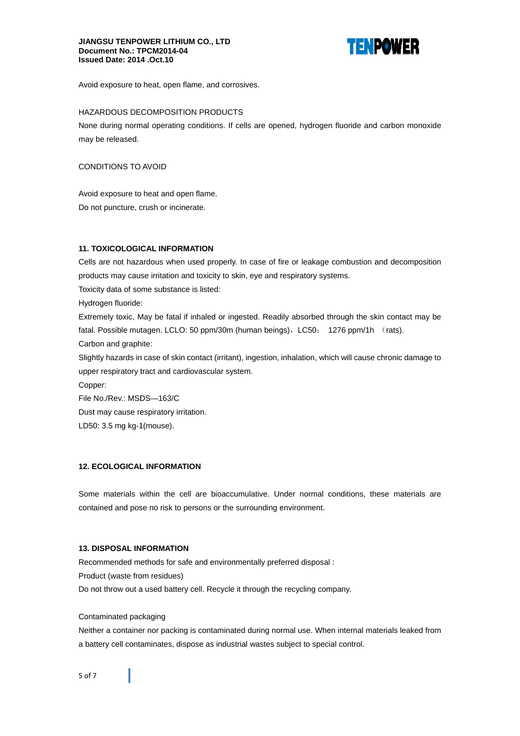#### **JIANGSU TENPOWER LITHIUM CO., LTD** Document No.: TPCM2014-04 Issued Date: 2014 .Oct.10



Avoid exposure to heat, open flame, and corrosives.

## HAZARDOUS DECOMPOSITION PRODUCTS

None during normal operating conditions. If cells are opened, hydrogen fluoride and carbon monoxide may be released.

## CONDITIONS TO AVOID

Avoid exposure to heat and open flame. Do not puncture, crush or incinerate.

# **11. TOXICOLOGICAL INFORMATION**

Cells are not hazardous when used properly. In case of fire or leakage combustion and decomposition products may cause irritation and toxicity to skin, eye and respiratory systems.

Toxicity data of some substance is listed:

Hydrogen fluoride:

Extremely toxic, May be fatal if inhaled or ingested. Readily absorbed through the skin contact may be fatal. Possible mutagen. LCLO: 50 ppm/30m (human beings), LC50: 1276 ppm/1h (rats).

Carbon and graphite:

Slightly hazards in case of skin contact (irritant), ingestion, inhalation, which will cause chronic damage to upper respiratory tract and cardiovascular system.

Copper:

File No./Rev.: MSDS-163/C

Dust may cause respiratory irritation.

LD50: 3.5 mg kg-1(mouse).

# **12. ECOLOGICAL INFORMATION**

Some materials within the cell are bioaccumulative. Under normal conditions, these materials are contained and pose no risk to persons or the surrounding environment.

# **13. DISPOSAL INFORMATION**

Recommended methods for safe and environmentally preferred disposal : Product (waste from residues) Do not throw out a used battery cell. Recycle it through the recycling company.

# Contaminated packaging

Neither a container nor packing is contaminated during normal use. When internal materials leaked from a battery cell contaminates, dispose as industrial wastes subject to special control.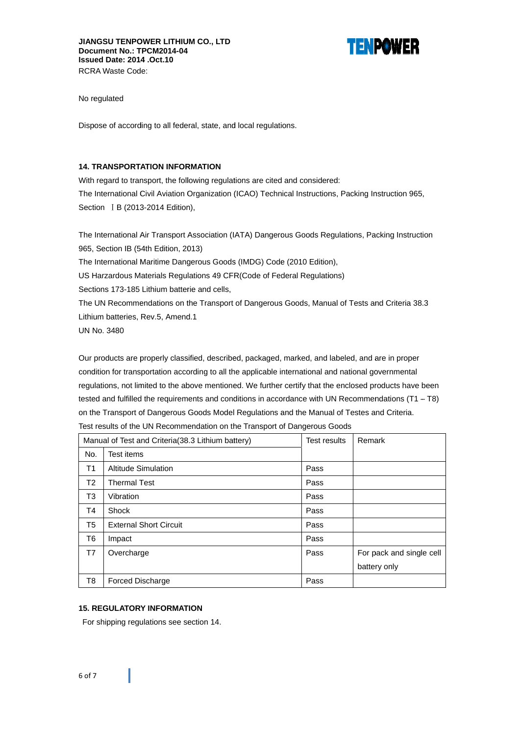

No regulated

Dispose of according to all federal, state, and local regulations.

### **14. TRANSPORTATION INFORMATION**

With regard to transport, the following regulations are cited and considered: The International Civil Aviation Organization (ICAO) Technical Instructions, Packing Instruction 965, Section | B (2013-2014 Edition),

The International Air Transport Association (IATA) Dangerous Goods Regulations, Packing Instruction 965, Section IB (54th Edition, 2013) The International Maritime Dangerous Goods (IMDG) Code (2010 Edition), US Harzardous Materials Regulations 49 CFR(Code of Federal Regulations) Sections 173-185 Lithium batterie and cells, The UN Recommendations on the Transport of Dangerous Goods, Manual of Tests and Criteria 38.3 Lithium batteries, Rev.5, Amend.1

**UN No. 3480** 

Our products are properly classified, described, packaged, marked, and labeled, and are in proper condition for transportation according to all the applicable international and national governmental regulations, not limited to the above mentioned. We further certify that the enclosed products have been tested and fulfilled the requirements and conditions in accordance with UN Recommendations (T1 - T8) on the Transport of Dangerous Goods Model Regulations and the Manual of Testes and Criteria. Test results of the UN Recommendation on the Transport of Dangerous Goods

|     | Manual of Test and Criteria (38.3 Lithium battery) | Test results | Remark                   |
|-----|----------------------------------------------------|--------------|--------------------------|
| No. | Test items                                         |              |                          |
| T1  | <b>Altitude Simulation</b>                         | Pass         |                          |
| T2  | <b>Thermal Test</b>                                | Pass         |                          |
| T3  | Vibration                                          | Pass         |                          |
| Τ4  | Shock                                              | Pass         |                          |
| T5  | <b>External Short Circuit</b>                      | Pass         |                          |
| T6  | Impact                                             | Pass         |                          |
| T7  | Overcharge                                         | Pass         | For pack and single cell |
|     |                                                    |              | battery only             |
| T8  | Forced Discharge                                   | Pass         |                          |

## **15. REGULATORY INFORMATION**

For shipping regulations see section 14.